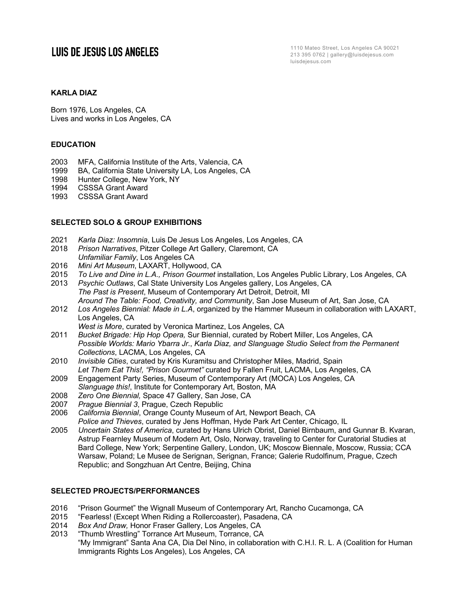## **LUIS DE JESUS LOS ANGELES**

1110 Mateo Street, Los Angeles CA 90021 213 395 0762 | gallery@luisdejesus.com luisdejesus.com

## **KARLA DIAZ**

Born 1976, Los Angeles, CA Lives and works in Los Angeles, CA

#### **EDUCATION**

- 2003 MFA, California Institute of the Arts, Valencia, CA
- 1999 BA, California State University LA, Los Angeles, CA
- 1998 Hunter College, New York, NY
- 1994 CSSSA Grant Award
- 1993 CSSSA Grant Award

#### **SELECTED SOLO & GROUP EXHIBITIONS**

- 2021 *Karla Diaz: Insomnia*, Luis De Jesus Los Angeles, Los Angeles, CA
- 2018 *Prison Narratives*, Pitzer College Art Gallery, Claremont, CA *Unfamiliar Family*, Los Angeles CA
- 2016 *Mini Art Museum*, LAXART, Hollywood, CA
- 2015 *To Live and Dine in L.A., Prison Gourmet* installation, Los Angeles Public Library, Los Angeles, CA
- 2013 *Psychic Outlaws*, Cal State University Los Angeles gallery, Los Angeles, CA *The Past is Present*, Museum of Contemporary Art Detroit, Detroit, MI *Around The Table: Food, Creativity, and Community*, San Jose Museum of Art, San Jose, CA
- 2012 *Los Angeles Biennial: Made in L.A*, organized by the Hammer Museum in collaboration with LAXART, Los Angeles, CA
	- *West is More*, curated by Veronica Martinez, Los Angeles, CA
- 2011 *Bucket Brigade: Hip Hop Opera,* Sur Biennial, curated by Robert Miller, Los Angeles, CA *Possible Worlds: Mario Ybarra Jr*., *Karla Diaz, and Slanguage Studio Select from the Permanent Collections*, LACMA, Los Angeles, CA
- 2010 *Invisible Cities*, curated by Kris Kuramitsu and Christopher Miles, Madrid, Spain *Let Them Eat This!, "Prison Gourmet"* curated by Fallen Fruit, LACMA, Los Angeles, CA
- 2009 Engagement Party Series, Museum of Contemporary Art (MOCA) Los Angeles, CA *Slanguage this!*, Institute for Contemporary Art, Boston, MA
- 2008 *Zero One Biennial,* Space 47 Gallery, San Jose, CA
- 2007 *Prague Biennial 3*, Prague, Czech Republic
- 2006 *California Biennial*, Orange County Museum of Art, Newport Beach, CA *Police and Thieves*, curated by Jens Hoffman, Hyde Park Art Center, Chicago, IL
- 2005 *Uncertain States of America*, curated by Hans Ulrich Obrist, Daniel Birnbaum, and Gunnar B. Kvaran, Astrup Fearnley Museum of Modern Art, Oslo, Norway, traveling to Center for Curatorial Studies at Bard College, New York; Serpentine Gallery, London, UK; Moscow Biennale, Moscow, Russia; CCA Warsaw, Poland; Le Musee de Serignan, Serignan, France; Galerie Rudolfinum, Prague, Czech Republic; and Songzhuan Art Centre, Beijing, China

## **SELECTED PROJECTS/PERFORMANCES**

- 2016 "Prison Gourmet" the Wignall Museum of Contemporary Art, Rancho Cucamonga, CA
- 2015 "Fearless! (Except When Riding a Rollercoaster), Pasadena, CA
- 2014 *Box And Draw,* Honor Fraser Gallery, Los Angeles, CA
- 2013 "Thumb Wrestling" Torrance Art Museum, Torrance, CA "My Immigrant" Santa Ana CA, Dia Del Nino, in collaboration with C.H.I. R. L. A (Coalition for Human Immigrants Rights Los Angeles), Los Angeles, CA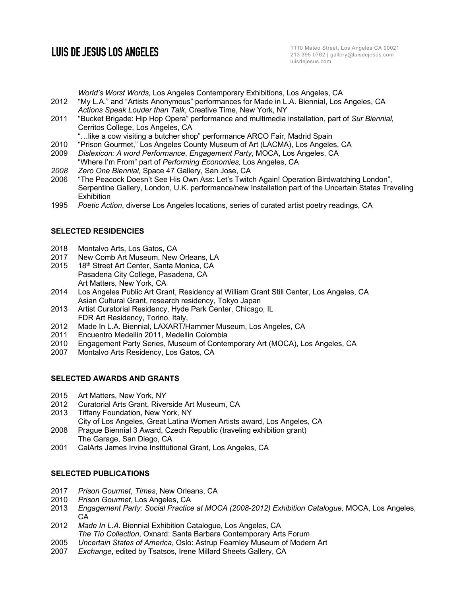# **LUIS DE JESUS LOS ANGELES**

*World's Worst Words,* Los Angeles Contemporary Exhibitions, Los Angeles, CA

- 2012 "My L.A." and "Artists Anonymous" performances for Made in L.A. Biennial, Los Angeles, CA *Actions Speak Louder than Talk*, Creative Time, New York, NY
- 2011 "Bucket Brigade: Hip Hop Opera" performance and multimedia installation, part of *Sur Biennial,* Cerritos College, Los Angeles, CA

"…like a cow visiting a butcher shop" performance ARCO Fair, Madrid Spain

- 2010 "Prison Gourmet," Los Angeles County Museum of Art (LACMA), Los Angeles, CA
- 2009 *Dislexicon: A word Performance*, *Engagement Party*, MOCA, Los Angeles, CA "Where I'm From" part of *Performing Economies,* Los Angeles, CA
- *2008 Zero One Biennial,* Space 47 Gallery, San Jose, CA
- 2006 "The Peacock Doesn't See His Own Ass: Let's Twitch Again! Operation Birdwatching London", Serpentine Gallery, London, U.K. performance/new Installation part of the Uncertain States Traveling **Exhibition**
- 1995 *Poetic Action*, diverse Los Angeles locations, series of curated artist poetry readings, CA

#### **SELECTED RESIDENCIES**

- 2018 Montalvo Arts, Los Gatos, CA
- 2017 New Comb Art Museum, New Orleans, LA
- 2015 18<sup>th</sup> Street Art Center, Santa Monica, CA Pasadena City College, Pasadena, CA Art Matters, New York, CA
- 2014 Los Angeles Public Art Grant, Residency at William Grant Still Center, Los Angeles, CA Asian Cultural Grant, research residency, Tokyo Japan
- 2013 Artist Curatorial Residency, Hyde Park Center, Chicago, IL FDR Art Residency, Torino, Italy,
- 2012 Made In L.A. Biennial, LAXART/Hammer Museum, Los Angeles, CA
- 2011 Encuentro Medellin 2011, Medellin Colombia
- 2010 Engagement Party Series, Museum of Contemporary Art (MOCA), Los Angeles, CA
- 2007 Montalvo Arts Residency, Los Gatos, CA

## **SELECTED AWARDS AND GRANTS**

- 2015 Art Matters, New York, NY
- 2012 Curatorial Arts Grant, Riverside Art Museum, CA
- 2013 Tiffany Foundation, New York, NY
- City of Los Angeles, Great Latina Women Artists award, Los Angeles, CA 2008 Prague Biennial 3 Award, Czech Republic (traveling exhibition grant)
- The Garage, San Diego, CA
- 2001 CalArts James Irvine Institutional Grant, Los Angeles, CA

## **SELECTED PUBLICATIONS**

- 2017 *Prison Gourmet*, *Times*, New Orleans, CA
- 2010 *Prison Gourmet*, Los Angeles, CA
- 2013 *Engagement Party: Social Practice at MOCA (2008-2012) Exhibition Catalogue,* MOCA, Los Angeles, CA
- 2012 *Made In L.A*. Biennial Exhibition Catalogue, Los Angeles, CA *The Tío Collection*, Oxnard: Santa Barbara Contemporary Arts Forum
- 2005 *Uncertain States of America*, Oslo: Astrup Fearnley Museum of Modern Art
- 2007 *Exchange*, edited by Tsatsos, Irene Millard Sheets Gallery, CA